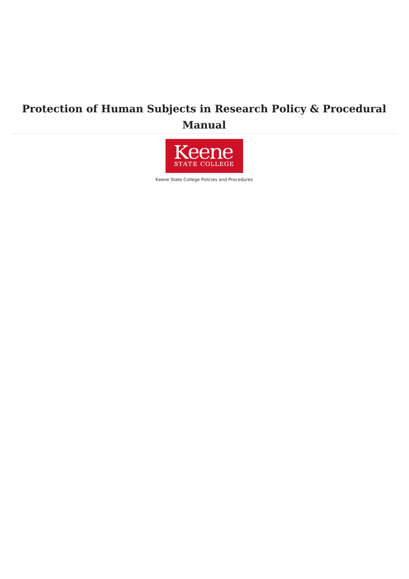# **Protection of Human Subjects in Research Policy & Procedural Manual**



Keene State College Policies and Procedures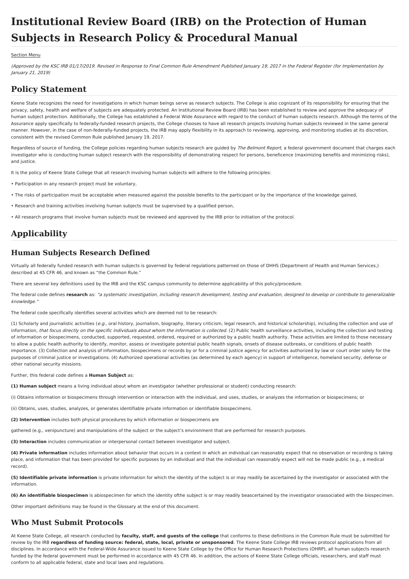# **Institutional Review Board (IRB) on the Protection of Human Subjects in Research Policy & Procedural Manual**

#### [Section](file:///var/www/vhosts/pw.keene.edu/public_html/ksc/assets/cache/PdfCache/16567482442707.html#aside) Menu

(Approved by the KSC IRB 01/17/2019. Revised in Response to Final Common Rule Amendment Published January 19, 2017 in the Federal Register (for Implementation by January 21, 2019)

## **Policy Statement**

Keene State recognizes the need for investigations in which human beings serve as research subjects. The College is also cognizant of its responsibility for ensuring that the privacy, safety, health and welfare of subjects are adequately protected. An Institutional Review Board (IRB) has been established to review and approve the adequacy of human subject protection. Additionally, the College has established a Federal Wide Assurance with regard to the conduct of human subjects research. Although the terms of the Assurance apply specifically to federally-funded research projects, the College chooses to have all research projects involving human subjects reviewed in the same general manner. However, in the case of non-federally-funded projects, the IRB may apply flexibility in its approach to reviewing, approving, and monitoring studies at its discretion, consistent with the revised Common Rule published January 19, 2017.

Regardless of source of funding, the College policies regarding human subjects research are guided by The Belmont Report, a federal government document that charges each investigator who is conducting human subject research with the responsibility of demonstrating respect for persons, beneficence (maximizing benefits and minimizing risks), and justice

It is the policy of Keene State College that all research involving human subjects will adhere to the following principles:

- Participation in any research project must be voluntary,
- The risks of participation must be acceptable when measured against the possible benefits to the participant or by the importance of the knowledge gained,
- Research and training activities involving human subjects must be supervised by a qualified person,
- All research programs that involve human subjects must be reviewed and approved by the IRB prior to initiation of the protocol.

## **Applicability**

### **Human Subjects Research Defined**

Virtually all federally funded research with human subjects is governed by federal regulations patterned on those of DHHS (Department of Health and Human Services,) described at 45 CFR 46, and known as "the Common Rule."

There are several key definitions used by the IRB and the KSC campus community to determine applicability of this policy/procedure.

The federal code defines research as: "a systematic investigation, including research development, testing and evaluation, designed to develop or contribute to generalizable knowledge.

The federal code specifically identifies several activities which are deemed not to be research:

(1) Scholarly and journalistic activities (e.g., oral history, journalism, biography, literary criticism, legal research, and historical scholarship), including the collection and use of information, that focus directly on the specific individuals about whom the information is collected. (2) Public health surveillance activities, including the collection and testing of information or biospecimens, conducted, supported, requested, ordered, required or authorized by a public health authority. These activities are limited to those necessary to allow a public health authority to identify, monitor, assess or investigate potential public health signals, onsets of disease outbreaks, or conditions of public health importance. (3) Collection and analysis of information, biospecimens or records by or for a criminal justice agency for activities authorized by law or court order solely for the purposes of criminal justice or investigations. (4) Authorized operational activities (as determined by each agency) in support of intelligence, homeland security, defense or other national security missions.

Further, this federal code defines a **Human Subject** as:

**(1) Human subject** means a living individual about whom an investigator (whether professional or student) conducting research:

(i) Obtains information or biospecimens through intervention or interaction with the individual, and uses, studies, or analyzes the information or biospecimens; or

(ii) Obtains, uses, studies, analyzes, or generates identifiable private information or identifiable biospecimens.

**(2) Intervention** includes both physical procedures by which information or biospecimens are

gathered (e.g., venipuncture) and manipulations of the subject or the subject's environment that are performed for research purposes.

**(3) Interaction** includes communication or interpersonal contact between investigator and subject.

**(4) Private information** includes information about behavior that occurs in a context in which an individual can reasonably expect that no observation or recording is taking place, and information that has been provided for specific purposes by an individual and that the individual can reasonably expect will not be made public (e.g., a medical record).

**(5) Identifiable private information** is private information for which the identity of the subject is or may readily be ascertained by the investigator or associated with the information.

**(6) An identifiable biospecimen** is abiospecimen for which the identity ofthe subject is or may readily beascertained by the investigator orassociated with the biospecimen.

Other important definitions may be found in the Glossary at the end of this document.

### **Who Must Submit Protocols**

At Keene State College, all research conducted by **faculty, staff, and guests of the college** that conforms to these definitions in the Common Rule must be submitted for review by the IRB regardless of funding source: federal, state, local, private or unsponsored. The Keene State College IRB reviews protocol applications from all disciplines. In accordance with the Federal-Wide Assurance issued to Keene State College by the Office for Human Research Protections (OHRP), all human subjects research funded by the federal government must be performed in accordance with 45 CFR 46. In addition, the actions of Keene State College officials, researchers, and staff must conform to all applicable federal, state and local laws and regulations.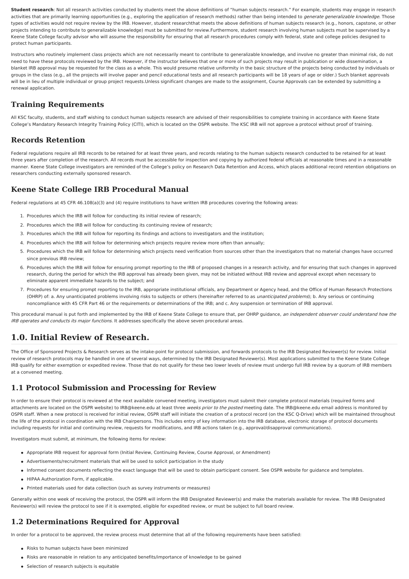**Student research**: Not all research activities conducted by students meet the above definitions of "human subjects research." For example, students may engage in research activities that are primarily learning opportunities (e.g., exploring the application of research methods) rather than being intended to *generate generalizable knowledge*. Those types of activities would not require review by the IRB. However, student researchthat meets the above definitions of human subjects research (e.g., honors, capstone, or other projects intending to contribute to generalizable knowledge) must be submitted for review.Furthermore, student research involving human subjects must be supervised by a Keene State College faculty advisor who will assume the responsibility for ensuring that all research procedures comply with federal, state and college policies designed to protect human participants.

Instructors who routinely implement class projects which are not necessarily meant to contribute to generalizable knowledge, and involve no greater than minimal risk, do not need to have these protocols reviewed by the IRB. However, if the instructor believes that one or more of such projects may result in publication or wide dissemination, a blanket IRB approval may be requested for the class as a whole. This would presume relative uniformity in the basic structure of the projects being conducted by individuals or groups in the class (e.g., all the projects will involve paper and pencil educational tests and all research participants will be 18 years of age or older.) Such blanket approvals will be in lieu of multiple individual or group project requests.Unless significant changes are made to the assignment. Course Approvals can be extended by submitting a renewal application.

## **Training Requirements**

All KSC faculty, students, and staff wishing to conduct human subjects research are advised of their responsibilities to complete training in accordance with Keene State College's Mandatory Research Integrity Training Policy (CITI), which is located on the OSPR website. The KSC IRB will not approve a protocol without proof of training.

## **Records Retention**

Federal regulations require all IRB records to be retained for at least three years, and records relating to the human subjects research conducted to be retained for at least three years after completion of the research. All records must be accessible for inspection and copying by authorized federal officials at reasonable times and in a reasonable manner. Keene State College investigators are reminded of the College's policy on Research Data Retention and Access, which places additional record retention obligations on researchers conducting externally sponsored research.

## **Keene State College IRB Procedural Manual**

Federal regulations at 45 CFR 46.108(a)(3) and (4) require institutions to have written IRB procedures covering the following areas:

- 1. Procedures which the IRB will follow for conducting its initial review of research;
- 2. Procedures which the IRB will follow for conducting its continuing review of research;
- 3. Procedures which the IRB will follow for reporting its findings and actions to investigators and the institution;
- 4. Procedures which the IRB will follow for determining which projects require review more often than annually;
- 5. Procedures which the IRB will follow for determining which projects need verification from sources other than the investigators that no material changes have occurred since previous IRB review;
- 6. Procedures which the IRB will follow for ensuring prompt reporting to the IRB of proposed changes in a research activity, and for ensuring that such changes in approved research, during the period for which the IRB approval has already been given, may not be initiated without IRB review and approval except when necessary to eliminate apparent immediate hazards to the subject; and
- 7. Procedures for ensuring prompt reporting to the IRB, appropriate institutional officials, any Department or Agency head, and the Office of Human Research Protections (OHRP) of: a. Any unanticipated problems involving risks to subjects or others (hereinafter referred to as unanticipated problems); b. Any serious or continuing noncompliance with 45 CFR Part 46 or the requirements or determinations of the IRB; and c. Any suspension or termination of IRB approval.

This procedural manual is put forth and implemented by the IRB of Keene State College to ensure that, per OHRP guidance, an independent observer could understand how the IRB operates and conducts its major functions. It addresses specifically the above seven procedural areas.

## **1.0. Initial Review of Research.**

The Office of Sponsored Projects & Research serves as the intake-point for protocol submission, and forwards protocols to the IRB Designated Reviewer(s) for review. Initial review of research protocols may be handled in one of several ways, determined by the IRB Designated Reviewer(s). Most applications submitted to the Keene State College IRB qualify for either exemption or expedited review. Those that do not qualify for these two lower levels of review must undergo full IRB review by a quorum of IRB members at a convened meeting.

## **1.1 Protocol Submission and Processing for Review**

In order to ensure their protocol is reviewed at the next available convened meeting, investigators must submit their complete protocol materials (required forms and attachments are located on the OSPR website) to IRB@keene.edu at least three weeks prior to the posted meeting date. The IRB@keene.edu email address is monitored by OSPR staff. When a new protocol is received for initial review, OSPR staff will initiate the creation of a protocol record (on the KSC Q-Drive) which will be maintained throughout the life of the protocol in coordination with the IRB Chairpersons. This includes entry of key information into the IRB database, electronic storage of protocol documents including requests for initial and continuing review, requests for modifications, and IRB actions taken (e.g., approval/disapproval communications).

Investigators must submit, at minimum, the following items for review:

- Appropriate IRB request for approval form (Initial Review, Continuing Review, Course Approval, or Amendment)
- Advertisements/recruitment materials that will be used to solicit participation in the study
- Informed consent documents reflecting the exact language that will be used to obtain participant consent. See OSPR website for guidance and templates.
- HIPAA Authorization Form, if applicable.
- Printed materials used for data collection (such as survey instruments or measures)

Generally within one week of receiving the protocol, the OSPR will inform the IRB Designated Reviewer(s) and make the materials available for review. The IRB Designated Reviewer(s) will review the protocol to see if it is exempted, eligible for expedited review, or must be subject to full board review.

## **1.2 Determinations Required for Approval**

In order for a protocol to be approved, the review process must determine that all of the following requirements have been satisfied:

- Risks to human subjects have been minimized
- Risks are reasonable in relation to any anticipated benefits/importance of knowledge to be gained
- Selection of research subjects is equitable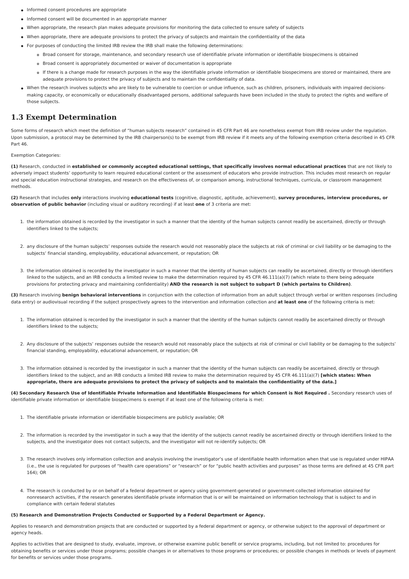- Informed consent procedures are appropriate
- Informed consent will be documented in an appropriate manner
- When appropriate, the research plan makes adequate provisions for monitoring the data collected to ensure safety of subjects
- When appropriate, there are adequate provisions to protect the privacy of subjects and maintain the confidentiality of the data
- For purposes of conducting the limited IRB review the IRB shall make the following determinations:
	- Broad consent for storage, maintenance, and secondary research use of identifiable private information or identifiable biospecimens is obtained
	- Broad consent is appropriately documented or waiver of documentation is appropriate
	- If there is a change made for research purposes in the way the identifiable private information or identifiable biospecimens are stored or maintained, there are adequate provisions to protect the privacy of subjects and to maintain the confidentiality of data.
- When the research involves subjects who are likely to be vulnerable to coercion or undue influence, such as children, prisoners, individuals with impaired decisionsmaking capacity, or economically or educationally disadvantaged persons, additional safeguards have been included in the study to protect the rights and welfare of those subjects.

### **1.3 Exempt Determination**

Some forms of research which meet the definition of "human subjects research" contained in 45 CFR Part 46 are nonetheless exempt from IRB review under the regulation. Upon submission, a protocol may be determined by the IRB chairperson(s) to be exempt from IRB review if it meets any of the following exemption criteria described in 45 CFR Part 46.

#### Exemption Categories:

(1) Research, conducted in established or commonly accepted educational settings, that specifically involves normal educational practices that are not likely to adversely impact students' opportunity to learn required educational content or the assessment of educators who provide instruction. This includes most research on regular and special education instructional strategies, and research on the effectiveness of, or comparison among, instructional techniques, curricula, or classroom management methods.

(2) Research that includes only interactions involving educational tests (cognitive, diagnostic, aptitude, achievement), survey procedures, interview procedures, or **observation of public behavior** (including visual or auditory recording) if at least **one** of 3 criteria are met:

- 1. the information obtained is recorded by the investigator in such a manner that the identity of the human subjects cannot readily be ascertained, directly or through identifiers linked to the subjects;
- 2. any disclosure of the human subjects' responses outside the research would not reasonably place the subjects at risk of criminal or civil liability or be damaging to the subjects' financial standing, employability, educational advancement, or reputation; OR
- 3. the information obtained is recorded by the investigator in such a manner that the identity of human subjects can readily be ascertained, directly or through identifiers linked to the subjects, and an IRB conducts a limited review to make the determination required by 45 CFR 46.111(a)(7) (which relate to there being adequate provisions for protecting privacy and maintaining confidentiality) AND the research is not subject to subpart D (which pertains to Children).

**(3)** Research involving **benign behavioral interventions** in conjunction with the collection of information from an adult subject through verbal or written responses (including data entry) or audiovisual recording if the subject prospectively agrees to the intervention and information collection and **at least one** of the following criteria is met:

- 1. The information obtained is recorded by the investigator in such a manner that the identity of the human subjects cannot readily be ascertained directly or through identifiers linked to the subjects;
- 2. Any disclosure of the subjects' responses outside the research would not reasonably place the subjects at risk of criminal or civil liability or be damaging to the subjects' financial standing, employability, educational advancement, or reputation; OR
- 3. The information obtained is recorded by the investigator in such a manner that the identity of the human subjects can readily be ascertained, directly or through identifiers linked to the subject, and an IRB conducts a limited IRB review to make the determination required by 45 CFR 46.111(a)(7) **[which states: When** appropriate, there are adequate provisions to protect the privacy of subjects and to maintain the confidentiality of the data.]

#### (4) Secondary Research Use of Identifiable Private Information and Identifiable Biospecimens for which Consent is Not Required . Secondary research uses of identifiable private information or identifiable biospecimens is exempt if at least one of the following criteria is met:

- 1. The identifiable private information or identifiable biospecimens are publicly available; OR
- 2. The information is recorded by the investigator in such a way that the identity of the subjects cannot readily be ascertained directly or through identifiers linked to the subjects, and the investigator does not contact subjects, and the investigator will not re-identify subjects; OR
- 3. The research involves only information collection and analysis involving the investigator's use of identifiable health information when that use is regulated under HIPAA (i.e., the use is regulated for purposes of "health care operations" or "research" or for "public health activities and purposes" as those terms are defined at 45 CFR part 164); OR
- 4. The research is conducted by or on behalf of a federal department or agency using government-generated or government-collected information obtained for nonresearch activities, if the research generates identifiable private information that is or will be maintained on information technology that is subject to and in compliance with certain federal statutes

#### **(5) Research and Demonstration Projects Conducted or Supported by a Federal Department or Agency.**

Applies to research and demonstration projects that are conducted or supported by a federal department or agency, or otherwise subject to the approval of department or agency heads.

Applies to activities that are designed to study, evaluate, improve, or otherwise examine public benefit or service programs, including, but not limited to: procedures for obtaining benefits or services under those programs; possible changes in or alternatives to those programs or procedures; or possible changes in methods or levels of payment for benefits or services under those programs.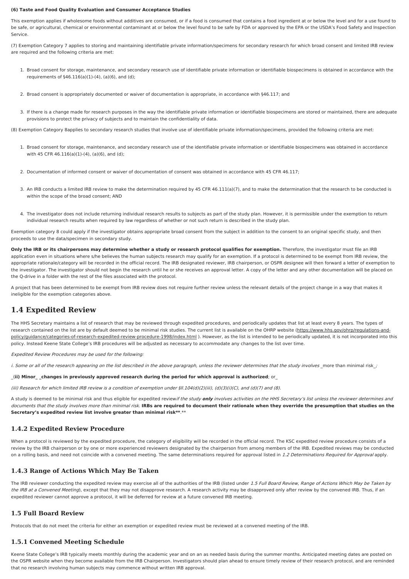#### **(6) Taste and Food Quality Evaluation and Consumer Acceptance Studies**

This exemption applies if wholesome foods without additives are consumed, or if a food is consumed that contains a food ingredient at or below the level and for a use found to be safe, or agricultural, chemical or environmental contaminant at or below the level found to be safe by FDA or approved by the EPA or the USDA's Food Safety and Inspection Service.

(7) Exemption Category 7 applies to storing and maintaining identifiable private information/specimens for secondary research for which broad consent and limited IRB review are required and the following criteria are met:

- 1. Broad consent for storage, maintenance, and secondary research use of identifiable private information or identifiable biospecimens is obtained in accordance with the requirements of §46.116(a)(1)-(4), (a)(6), and (d);
- 2. Broad consent is appropriately documented or waiver of documentation is appropriate, in accordance with §46.117; and
- 3. If there is a change made for research purposes in the way the identifiable private information or identifiable biospecimens are stored or maintained, there are adequate provisions to protect the privacy of subjects and to maintain the confidentiality of data.

(8) Exemption Category 8applies to secondary research studies that involve use of identifiable private information/specimens, provided the following criteria are met:

- 1. Broad consent for storage, maintenance, and secondary research use of the identifiable private information or identifiable biospecimens was obtained in accordance with 45 CFR 46.116(a)(1)-(4), (a)(6), and (d);
- 2. Documentation of informed consent or waiver of documentation of consent was obtained in accordance with 45 CFR 46.117;
- 3. An IRB conducts a limited IRB review to make the determination required by 45 CFR 46.111(a)(7), and to make the determination that the research to be conducted is within the scope of the broad consent: AND
- 4. The investigator does not include returning individual research results to subjects as part of the study plan. However, it is permissible under the exemption to return individual research results when required by law regardless of whether or not such return is described in the study plan.

Exemption category 8 could apply if the investigator obtains appropriate broad consent from the subject in addition to the consent to an original specific study, and then proceeds to use the data/specimen in secondary study.

Only the IRB or its chairpersons may determine whether a study or research protocol qualifies for exemption. Therefore, the investigator must file an IRB application even in situations where s/he believes the human subjects research may qualify for an exemption. If a protocol is determined to be exempt from IRB review, the appropriate rationale/category will be recorded in the official record. The IRB designated reviewer, IRB chairperson, or OSPR designee will then forward a letter of exemption to the investigator. The investigator should not begin the research until he or she receives an approval letter. A copy of the letter and any other documentation will be placed on the Q-drive in a folder with the rest of the files associated with the protocol.

A project that has been determined to be exempt from IRB review does not require further review unless the relevant details of the project change in a way that makes it ineligible for the exemption categories above.

### **1.4 Expedited Review**

The HHS Secretary maintains a list of research that may be reviewed through expedited procedures, and periodically updates that list at least every 8 years. The types of research contained on the list are by default deemed to be minimal risk studies. The current list is available on the OHRP website (https://www.hhs.gov/ohrp/regulations-and[policy/guidance/categories-of-research-expedited-review-procedure-1998/index.html](https://www.hhs.gov/ohrp/regulations-and-policy/guidance/categories-of-research-expedited-review-procedure-1998/index.html) ). However, as the list is intended to be periodically updated, it is not incorporated into this policy. Instead Keene State College's IRB procedures will be adjusted as necessary to accommodate any changes to the list over time.

Expedited Review Procedures may be used for the following:

i. Some or all of the research appearing on the list described in the above paragraph, unless the reviewer determines that the study involves more than minimal risk;

\_(**ii) Minor\_ \_changes in previously approved research during the period for which approval is authorized**; or\_

(iii) Research for which limited IRB review is a condition of exemption under §ll.104(d)(2)(iii), (d)(3)(i)(C), and (d)(7) and (8).

A study is deemed to be minimal risk and thus eligible for expedited reviewif the study **only** involves activities on the HHS Secretary's list unless the reviewer determines and documents that the study involves more than minimal risk. IRBs are required to document their rationale when they override the presumption that studies on the **Secretary's expedited review list involve greater than minimal risk\*\***.\*\*

#### **1.4.2 Expedited Review Procedure**

When a protocol is reviewed by the expedited procedure, the category of eligibility will be recorded in the official record. The KSC expedited review procedure consists of a review by the IRB chairperson or by one or more experienced reviewers designated by the chairperson from among members of the IRB. Expedited reviews may be conducted on a rolling basis, and need not coincide with a convened meeting. The same determinations required for approval listed in 1.2 Determinations Required for Approval apply.

#### **1.4.3 Range of Actions Which May Be Taken**

The IRB reviewer conducting the expedited review may exercise all of the authorities of the IRB (listed under 1.5 Full Board Review, Range of Actions Which May be Taken by the IRB at a Convened Meeting), except that they may not disapprove research. A research activity may be disapproved only after review by the convened IRB. Thus, if an expedited reviewer cannot approve a protocol, it will be deferred for review at a future convened IRB meeting.

#### **1.5 Full Board Review**

Protocols that do not meet the criteria for either an exemption or expedited review must be reviewed at a convened meeting of the IRB.

#### **1.5.1 Convened Meeting Schedule**

Keene State College's IRB typically meets monthly during the academic year and on an as needed basis during the summer months. Anticipated meeting dates are posted on the OSPR website when they become available from the IRB Chairperson. Investigators should plan ahead to ensure timely review of their research protocol, and are reminded that no research involving human subjects may commence without written IRB approval.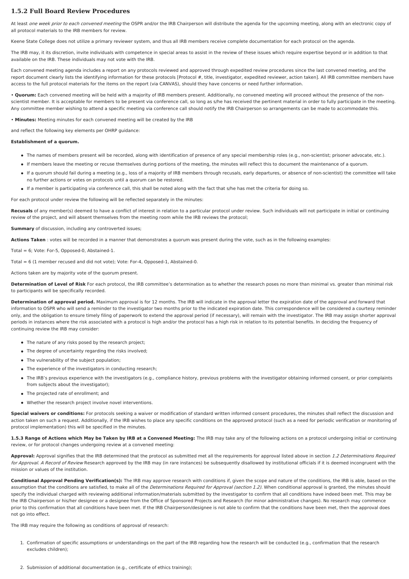#### **1.5.2 Full Board Review Procedures**

At least one week prior to each convened meeting the OSPR and/or the IRB Chairperson will distribute the agenda for the upcoming meeting, along with an electronic copy of all protocol materials to the IRB members for review.

Keene State College does not utilize a primary reviewer system, and thus all IRB members receive complete documentation for each protocol on the agenda.

The IRB may, it its discretion, invite individuals with competence in special areas to assist in the review of these issues which require expertise beyond or in addition to that available on the IRB. These individuals may not vote with the IRB.

Each convened meeting agenda includes a report on any protocols reviewed and approved through expedited review procedures since the last convened meeting, and the report document clearly lists the identifying information for these protocols [Protocol #, title, investigator, expedited reviewer, action taken]. All IRB committee members have access to the full protocol materials for the items on the report (via CANVAS), should they have concerns or need further information.

• **Quorum:** Each convened meeting will be held with a majority of IRB members present. Additionally, no convened meeting will proceed without the presence of the nonscientist member. It is acceptable for members to be present via conference call, so long as s/he has received the pertinent material in order to fully participate in the meeting. Any committee member wishing to attend a specific meeting via conference call should notify the IRB Chairperson so arrangements can be made to accommodate this.

• **Minutes:** Meeting minutes for each convened meeting will be created by the IRB

and reflect the following key elements per OHRP guidance:

#### **Establishment of a quorum.**

- The names of members present will be recorded, along with identification of presence of any special membership roles (e.g., non-scientist; prisoner advocate, etc.).
- If members leave the meeting or recuse themselves during portions of the meeting, the minutes will reflect this to document the maintenance of a quorum.
- If a quorum should fail during a meeting (e.g., loss of a majority of IRB members through recusals, early departures, or absence of non-scientist) the committee will take no further actions or votes on protocols until a quorum can be restored.
- If a member is participating via conference call, this shall be noted along with the fact that s/he has met the criteria for doing so.

For each protocol under review the following will be reflected separately in the minutes:

**Recusals** of any member(s) deemed to have a conflict of interest in relation to a particular protocol under review. Such individuals will not participate in initial or continuing review of the project, and will absent themselves from the meeting room while the IRB reviews the protocol;

**Summary** of discussion, including any controverted issues;

**Actions Taken** : votes will be recorded in a manner that demonstrates a quorum was present during the vote, such as in the following examples:

Total = 6; Vote: For-5, Opposed-0, Abstained-1.

Total = 6 (1 member recused and did not vote); Vote: For-4, Opposed-1, Abstained-0.

Actions taken are by majority vote of the quorum present.

**Determination of Level of Risk** For each protocol, the IRB committee's determination as to whether the research poses no more than minimal vs. greater than minimal risk to participants will be specifically recorded.

**Determination of approval period.** Maximum approval is for 12 months. The IRB will indicate in the approval letter the expiration date of the approval and forward that information to OSPR who will send a reminder to the investigator two months prior to the indicated expiration date. This correspondence will be considered a courtesy reminder only, and the obligation to ensure timely filing of paperwork to extend the approval period (if necessary), will remain with the investigator. The IRB may assign shorter approval periods in instances where the risk associated with a protocol is high and/or the protocol has a high risk in relation to its potential benefits. In deciding the frequency of continuing review the IRB may consider:

- The nature of any risks posed by the research project:
- The degree of uncertainty regarding the risks involved;
- The vulnerability of the subject population;
- The experience of the investigators in conducting research:
- The IRB's previous experience with the investigators (e.g., compliance history, previous problems with the investigator obtaining informed consent, or prior complaints from subjects about the investigator):
- The projected rate of enrollment; and
- Whether the research project involve novel interventions.

**Special waivers or conditions:** For protocols seeking a waiver or modification of standard written informed consent procedures, the minutes shall reflect the discussion and action taken on such a request. Additionally, if the IRB wishes to place any specific conditions on the approved protocol (such as a need for periodic verification or monitoring of protocol implementation) this will be specified in the minutes.

1.5.3 Range of Actions which May be Taken by IRB at a Convened Meeting: The IRB may take any of the following actions on a protocol undergoing initial or continuing review, or for protocol changes undergoing review at a convened meeting:

Approval: Approval signifies that the IRB determined that the protocol as submitted met all the requirements for approval listed above in section 1.2 Determinations Required for Approval. A Record of Review Research approved by the IRB may (in rare instances) be subsequently disallowed by institutional officials if it is deemed incongruent with the mission or values of the institution.

**Conditional Approval Pending Verification(s):** The IRB may approve research with conditions if, given the scope and nature of the conditions, the IRB is able, based on the assumption that the conditions are satisfied, to make all of the *Determinations Required for Approval (section 1.2)*. When conditional approval is granted, the minutes should specify the individual charged with reviewing additional information/materials submitted by the investigator to confirm that all conditions have indeed been met. This may be the IRB Chairperson or his/her designee or a designee from the Office of Sponsored Projects and Research (for minor administrative changes). No research may commence prior to this confirmation that all conditions have been met. If the IRB Chairperson/designee is not able to confirm that the conditions have been met, then the approval does not go into effect.

The IRB may require the following as conditions of approval of research:

1. Confirmation of specific assumptions or understandings on the part of the IRB regarding how the research will be conducted (e.g., confirmation that the research excludes children);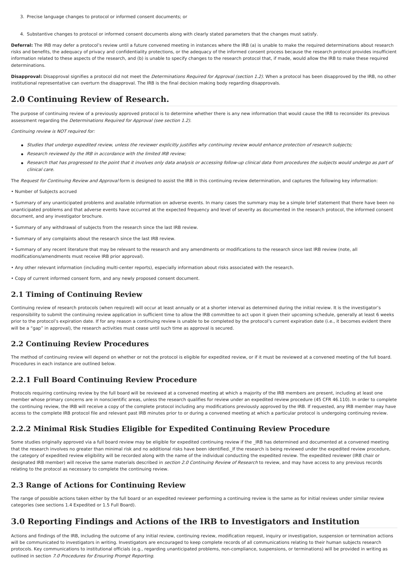- 3. Precise language changes to protocol or informed consent documents; or
- 4. Substantive changes to protocol or informed consent documents along with clearly stated parameters that the changes must satisfy.

Deferral: The IRB may defer a protocol's review until a future convened meeting in instances where the IRB (a) is unable to make the required determinations about research risks and benefits, the adequacy of privacy and confidentiality protections, or the adequacy of the informed consent process because the research protocol provides insufficient information related to these aspects of the research, and (b) is unable to specify changes to the research protocol that, if made, would allow the IRB to make these required determinations.

Disapproval: Disapproval signifies a protocol did not meet the *Determinations Required for Approval (section 1.2)*. When a protocol has been disapproved by the IRB, no other institutional representative can overturn the disapproval. The IRB is the final decision making body regarding disapprovals.

## **2.0 Continuing Review of Research.**

The purpose of continuing review of a previously approved protocol is to determine whether there is any new information that would cause the IRB to reconsider its previous assessment regarding the Determinations Required for Approval (see section 1.2).

Continuing review is NOT required for:

- Studies that undergo expedited review, unless the reviewer explicitly justifies why continuing review would enhance protection of research subjects;
- Research reviewed by the IRB in accordance with the limited IRB review;
- Research that has progressed to the point that it involves only data analysis or accessing follow-up clinical data from procedures the subjects would undergo as part of clinical care.

The Request for Continuing Review and Approval form is designed to assist the IRB in this continuing review determination, and captures the following key information:

• Number of Subjects accrued

• Summary of any unanticipated problems and available information on adverse events. In many cases the summary may be a simple brief statement that there have been no unanticipated problems and that adverse events have occurred at the expected frequency and level of severity as documented in the research protocol, the informed consent document, and any investigator brochure.

• Summary of any withdrawal of subjects from the research since the last IRB review.

- Summary of any complaints about the research since the last IRB review.
- Summary of any recent literature that may be relevant to the research and any amendments or modifications to the research since last IRB review (note, all modifications/amendments must receive IRB prior approval).
- Any other relevant information (including multi-center reports), especially information about risks associated with the research.
- Copy of current informed consent form, and any newly proposed consent document.

### **2.1 Timing of Continuing Review**

Continuing review of research protocols (when required) will occur at least annually or at a shorter interval as determined during the initial review. It is the investigator's responsibility to submit the continuing review application in sufficient time to allow the IRB committee to act upon it given their upcoming schedule, generally at least 6 weeks prior to the protocol's expiration date. If for any reason a continuing review is unable to be completed by the protocol's current expiration date (i.e., it becomes evident there will be a "gap" in approval), the research activities must cease until such time as approval is secured.

### **2.2 Continuing Review Procedures**

The method of continuing review will depend on whether or not the protocol is eligible for expedited review, or if it must be reviewed at a convened meeting of the full board. Procedures in each instance are outlined below.

### **2.2.1 Full Board Continuing Review Procedure**

Protocols requiring continuing review by the full board will be reviewed at a convened meeting at which a majority of the IRB members are present, including at least one member whose primary concerns are in nonscientific areas, unless the research qualifies for review under an expedited review procedure (45 CFR 46.110). In order to complete the continuing review, the IRB will receive a copy of the complete protocol including any modifications previously approved by the IRB. If requested, any IRB member may have access to the complete IRB protocol file and relevant past IRB minutes prior to or during a convened meeting at which a particular protocol is undergoing continuing review.

### **2.2.2 Minimal Risk Studies Eligible for Expedited Continuing Review Procedure**

Some studies originally approved via a full board review may be eligible for expedited continuing review if the \_IRB has determined and documented at a convened meeting that the research involves no greater than minimal risk and no additional risks have been identified.\_If the research is being reviewed under the expedited review procedure, the category of expedited review eligibility will be recorded along with the name of the individual conducting the expedited review. The expedited reviewer (IRB chair or designated IRB member) will receive the same materials described in section 2.0 Continuing Review of Research to review, and may have access to any previous records relating to the protocol as necessary to complete the continuing review.

## **2.3 Range of Actions for Continuing Review**

The range of possible actions taken either by the full board or an expedited reviewer performing a continuing review is the same as for initial reviews under similar review categories (see sections 1.4 Expedited or 1.5 Full Board).

## **3.0 Reporting Findings and Actions of the IRB to Investigators and Institution**

Actions and findings of the IRB, including the outcome of any initial review, continuing review, modification request, inquiry or investigation, suspension or termination actions will be communicated to investigators in writing. Investigators are encouraged to keep complete records of all communications relating to their human subjects research protocols. Key communications to institutional officials (e.g., regarding unanticipated problems, non-compliance, suspensions, or terminations) will be provided in writing as outlined in section 7.0 Procedures for Ensuring Prompt Reporting.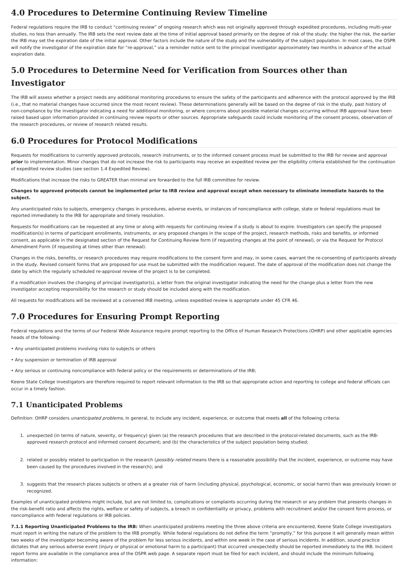## **4.0 Procedures to Determine Continuing Review Timeline**

Federal regulations require the IRB to conduct "continuing review" of ongoing research which was not originally approved through expedited procedures, including multi-year studies, no less than annually. The IRB sets the next review date at the time of initial approval based primarily on the degree of risk of the study: the higher the risk, the earlier the IRB may set the expiration date of the initial approval. Other factors include the nature of the study and the vulnerability of the subject population. In most cases, the OSPR will notify the investigator of the expiration date for "re-approval," via a reminder notice sent to the principal investigator approximately two months in advance of the actual expiration date.

## **5.0 Procedures to Determine Need for Verification from Sources other than Investigator**

The IRB will assess whether a project needs any additional monitoring procedures to ensure the safety of the participants and adherence with the protocol approved by the IRB (i.e., that no material changes have occurred since the most recent review). These determinations generally will be based on the degree of risk in the study, past history of non-compliance by the investigator indicating a need for additional monitoring, or where concerns about possible material changes occurring without IRB approval have been raised based upon information provided in continuing review reports or other sources. Appropriate safeguards could include monitoring of the consent process, observation of the research procedures, or review of research related results.

## **6.0 Procedures for Protocol Modifications**

Requests for modifications to currently approved protocols, research instruments, or to the informed consent process must be submitted to the IRB for review and approval **prior** to implementation. Minor changes that do not increase the risk to participants may receive an expedited review per the eligibility criteria established for the continuation of expedited review studies (see section 1.4 Expedited Review).

Modifications that increase the risks to GREATER than minimal are forwarded to the full IRB committee for review.

Changes to approved protocols cannot be implemented prior to IRB review and approval except when necessary to eliminate immediate hazards to the **subject.**

Any unanticipated risks to subjects, emergency changes in procedures, adverse events, or instances of noncompliance with college, state or federal regulations must be reported immediately to the IRB for appropriate and timely resolution.

Requests for modifications can be requested at any time or along with requests for continuing review if a study is about to expire. Investigators can specify the proposed modification(s) in terms of participant enrollments, instruments, or any proposed changes in the scope of the project, research methods, risks and benefits, or informed consent, as applicable in the designated section of the Request for Continuing Review form (if requesting changes at the point of renewal), or via the Request for Protocol Amendment Form (if requesting at times other than renewal).

Changes in the risks, benefits, or research procedures may require modifications to the consent form and may, in some cases, warrant the re-consenting of participants already in the study. Revised consent forms that are proposed for use must be submitted with the modification request. The date of approval of the modification does not change the date by which the regularly scheduled re-approval review of the project is to be completed.

If a modification involves the changing of principal investigator(s), a letter from the original investigator indicating the need for the change plus a letter from the new investigator accepting responsibility for the research or study should be included along with the modification.

All requests for modifications will be reviewed at a convened IRB meeting, unless expedited review is appropriate under 45 CFR 46.

## **7.0 Procedures for Ensuring Prompt Reporting**

Federal regulations and the terms of our Federal Wide Assurance require prompt reporting to the Office of Human Research Protections (OHRP) and other applicable agencies heads of the following:

• Any unanticipated problems involving risks to subjects or others

- Any suspension or termination of IRB approval
- Any serious or continuing noncompliance with federal policy or the requirements or determinations of the IRB;

Keene State College investigators are therefore required to report relevant information to the IRB so that appropriate action and reporting to college and federal officials can occur in a timely fashion.

## **7.1 Unanticipated Problems**

Definition: OHRP considers unanticipated problems, in general, to include any incident, experience, or outcome that meets **all** of the following criteria:

- 1. unexpected (in terms of nature, severity, or frequency) given (a) the research procedures that are described in the protocol-related documents, such as the IRBapproved research protocol and informed consent document; and (b) the characteristics of the subject population being studied;
- 2. related or possibly related to participation in the research (*possibly related* means there is a reasonable possibility that the incident, experience, or outcome may have been caused by the procedures involved in the research); and
- 3. suggests that the research places subjects or others at a greater risk of harm (including physical, psychological, economic, or social harm) than was previously known or recognized.

Examples of unanticipated problems might include, but are not limited to, complications or complaints occurring during the research or any problem that presents changes in the risk-benefit ratio and affects the rights, welfare or safety of subjects, a breach in confidentiality or privacy, problems with recruitment and/or the consent form process, or noncompliance with federal regulations or IRB policies.

**7.1.1 Reporting Unanticipated Problems to the IRB:** When unanticipated problems meeting the three above criteria are encountered, Keene State College investigators must report in writing the nature of the problem to the IRB promptly. While federal regulations do not define the term "promptly," for this purpose it will generally mean within two weeks of the investigator becoming aware of the problem for less serious incidents, and within one week in the case of serious incidents. In addition, sound practice dictates that any serious adverse event (injury or physical or emotional harm to a participant) that occurred unexpectedly should be reported immediately to the IRB. Incident report forms are available in the compliance area of the OSPR web page. A separate report must be filed for each incident, and should include the minimum following information: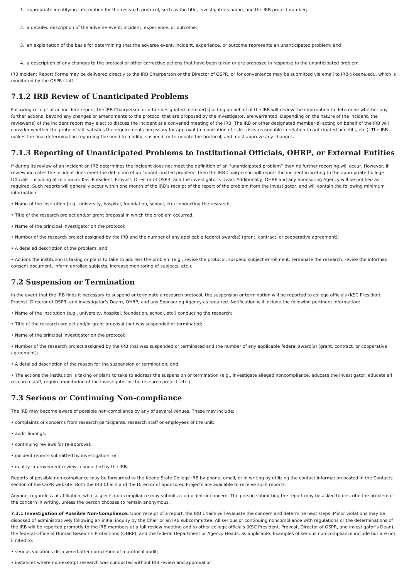- 1. appropriate identifying information for the research protocol, such as the title, investigator's name, and the IRB project number;
- 2. a detailed description of the adverse event, incident, experience, or outcome;
- 3. an explanation of the basis for determining that the adverse event, incident, experience, or outcome represents an unanticipated problem; and
- 4. a description of any changes to the protocol or other corrective actions that have been taken or are proposed in response to the unanticipated problem.

IRB Incident Report Forms may be delivered directly to the IRB Chairperson or the Director of OSPR, or for convenience may be submitted via email to IRB@keene.edu, which is monitored by the OSPR staff.

### **7.1.2 IRB Review of Unanticipated Problems**

Following receipt of an incident report, the IRB Chairperson or other designated member(s) acting on behalf of the IRB will review the information to determine whether any further actions, beyond any changes or amendments to the protocol that are proposed by the investigator, are warranted. Depending on the nature of the incident, the reviewer(s) of the incident report may elect to discuss the incident at a convened meeting of the IRB. The IRB or other designated member(s) acting on behalf of the IRB will consider whether the protocol still satisfies the requirements necessary for approval (minimization of risks, risks reasonable in relation to anticipated benefits, etc.). The IRB makes the final determination regarding the need to modify, suspend, or terminate the protocol, and must approve any changes.

### **7.1.3 Reporting of Unanticipated Problems to Institutional Officials, OHRP, or External Entities**

If during its review of an incident an IRB determines the incident does not meet the definition of an "unanticipated problem" then no further reporting will occur. However, if review indicates the incident does meet the definition of an "unanticipated problem" then the IRB Chairperson will report the incident in writing to the appropriate College Officials, including at minimum: KSC President, Provost, Director of OSPR, and the investigator's Dean. Additionally, OHRP and any Sponsoring Agency will be notified as required. Such reports will generally occur within one month of the IRB's receipt of the report of the problem from the investigator, and will contain the following minimum information:

- Name of the institution (e.g., university, hospital, foundation, school, etc) conducting the research;
- Title of the research project and/or grant proposal in which the problem occurred;
- Name of the principal investigator on the protocol;
- Number of the research project assigned by the IRB and the number of any applicable federal award(s) (grant, contract, or cooperative agreement);
- A detailed description of the problem; and

• Actions the institution is taking or plans to take to address the problem (e.g., revise the protocol, suspend subject enrollment, terminate the research, revise the informed consent document, inform enrolled subjects, increase monitoring of subjects, etc.).

### **7.2 Suspension or Termination**

In the event that the IRB finds it necessary to suspend or terminate a research protocol, the suspension or termination will be reported to college officials (KSC President, Provost, Director of OSPR, and investigator's Dean), OHRP, and any Sponsoring Agency as required. Notification will include the following pertinent information:

- Name of the institution (e.g., university, hospital, foundation, school, etc.) conducting the research;
- Title of the research project and/or grant proposal that was suspended or terminated;
- Name of the principal investigator on the protocol;

• Number of the research project assigned by the IRB that was suspended or terminated and the number of any applicable federal award(s) (grant, contract, or cooperative agreement);

• A detailed description of the reason for the suspension or termination; and

• The actions the institution is taking or plans to take to address the suspension or termination (e.g., investigate alleged noncompliance, educate the investigator, educate all research staff, require monitoring of the investigator or the research project, etc.)

### **7.3 Serious or Continuing Non-compliance**

The IRB may become aware of possible non-compliance by any of several venues. These may include:

- complaints or concerns from research participants, research staff or employees of the unit;
- audit findings;
- continuing reviews for re-approval;
- incident reports submitted by investigators; or
- quality improvement reviews conducted by the IRB.

Reports of possible non-compliance may be forwarded to the Keene State College IRB by phone, email, or in writing by utilizing the contact information posted in the Contacts section of the OSPR website. Both the IRB Chairs and the Director of Sponsored Projects are available to receive such reports.

Anyone, regardless of affiliation, who suspects non-compliance may submit a complaint or concern. The person submitting the report may be asked to describe the problem or the concern in writing, unless the person chooses to remain anonymous.

**7.3.1 Investigation of Possible Non-Compliance:** Upon receipt of a report, the IRB Chairs will evaluate the concern and determine next steps. Minor violations may be disposed of administratively following an initial inquiry by the Chair or an IRB subcommittee. All serious or continuing noncompliance with regulations or the determinations of the IRB will be reported promptly to the IRB members at a full review meeting and to other college officials (KSC President, Provost, Director of OSPR, and investigator's Dean), the federal Office of Human Research Protections (OHRP), and the federal Department or Agency Heads, as applicable. Examples of serious non-compliance include but are not limited to:

• serious violations discovered after completion of a protocol audit;

• instances where non-exempt research was conducted without IRB review and approval or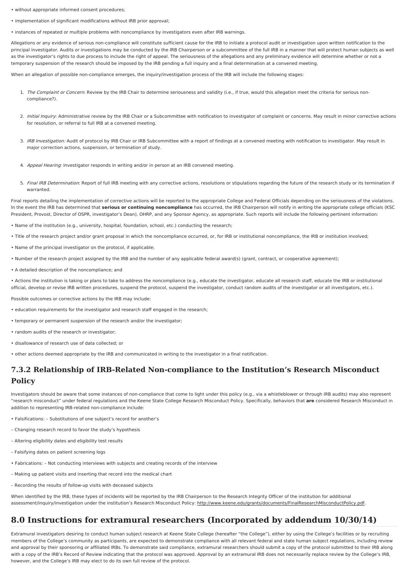- without appropriate informed consent procedures;
- implementation of significant modifications without IRB prior approval;
- instances of repeated or multiple problems with noncompliance by investigators even after IRB warnings.

Allegations or any evidence of serious non-compliance will constitute sufficient cause for the IRB to initiate a protocol audit or investigation upon written notification to the principal investigator. Audits or investigations may be conducted by the IRB Chairperson or a subcommittee of the full IRB in a manner that will protect human subjects as well as the investigator's rights to due process to include the right of appeal. The seriousness of the allegations and any preliminary evidence will determine whether or not a temporary suspension of the research should be imposed by the IRB pending a full inquiry and a final determination at a convened meeting.

When an allegation of possible non-compliance emerges, the inquiry/investigation process of the IRB will include the following stages:

- 1. The Complaint or Concern: Review by the IRB Chair to determine seriousness and validity (i.e., if true, would this allegation meet the criteria for serious noncompliance?).
- 2. Initial Inquiry: Administrative review by the IRB Chair or a Subcommittee with notification to investigator of complaint or concerns. May result in minor corrective actions for resolution, or referral to full IRB at a convened meeting.
- 3. IRB Investigation: Audit of protocol by IRB Chair or IRB Subcommittee with a report of findings at a convened meeting with notification to investigator. May result in major correction actions, suspension, or termination of study.
- 4. Appeal Hearing: Investigator responds in writing and/or in person at an IRB convened meeting.
- 5. Final IRB Determination: Report of full IRB meeting with any corrective actions, resolutions or stipulations regarding the future of the research study or its termination if warranted.

Final reports detailing the implementation of corrective actions will be reported to the appropriate College and Federal Officials depending on the seriousness of the violations. In the event the IRB has determined that **serious or continuing noncompliance** has occurred, the IRB Chairperson will notify in writing the appropriate college officials (KSC President, Provost, Director of OSPR, investigator's Dean), OHRP, and any Sponsor Agency, as appropriate. Such reports will include the following pertinent information:

- Name of the institution (e.g., university, hospital, foundation, school, etc.) conducting the research;
- Title of the research project and/or grant proposal in which the noncompliance occurred, or, for IRB or institutional noncompliance, the IRB or institution involved;
- Name of the principal investigator on the protocol, if applicable;
- Number of the research project assigned by the IRB and the number of any applicable federal award(s) (grant, contract, or cooperative agreement);
- A detailed description of the noncompliance; and

• Actions the institution is taking or plans to take to address the noncompliance (e.g., educate the investigator, educate all research staff, educate the IRB or institutional official, develop or revise IRB written procedures, suspend the protocol, suspend the investigator, conduct random audits of the investigator or all investigators, etc.).

Possible outcomes or corrective actions by the IRB may include:

- education requirements for the investigator and research staff engaged in the research;
- temporary or permanent suspension of the research and/or the investigator;
- random audits of the research or investigator;
- disallowance of research use of data collected; or
- other actions deemed appropriate by the IRB and communicated in writing to the investigator in a final notification.

## **7.3.2 Relationship of IRB-Related Non-compliance to the Institution's Research Misconduct Policy**

Investigators should be aware that some instances of non-compliance that come to light under this policy (e.g., via a whistleblower or through IRB audits) may also represent "research misconduct" under federal regulations and the Keene State College Research Misconduct Policy. Specifically, behaviors that **are** considered Research Misconduct in addition to representing IRB-related non-compliance include:

- Falsifications: Substitutions of one subject's record for another's
- Changing research record to favor the study's hypothesis
- Altering eligibility dates and eligibility test results
- Falsifying dates on patient screening logs
- Fabrications: Not conducting interviews with subjects and creating records of the interview
- Making up patient visits and inserting that record into the medical chart
- Recording the results of follow-up visits with deceased subjects

When identified by the IRB, these types of incidents will be reported by the IRB Chairperson to the Research Integrity Officer of the institution for additional assessment/inquiry/investigation under the institution's Research Misconduct Policy: [http://www.keene.edu/grants/documents/FinalResearchMisconductPolicy.pdf](file:///grants/documents/FinalResearchMisconductPolicy.pdf).

## **8.0 Instructions for extramural researchers (Incorporated by addendum 10/30/14)**

Extramural investigators desiring to conduct human subject research at Keene State College (hereafter "the College"), either by using the College's facilities or by recruiting members of the College's community as participants, are expected to demonstrate compliance with all relevant federal and state human subject regulations, including review and approval by their sponsoring or affiliated IRBs. To demonstrate said compliance, extramural researchers should submit a copy of the protocol submitted to their IRB along with a copy of the IRB's Record of Review indicating that the protocol was approved. Approval by an extramural IRB does not necessarily replace review by the College's IRB. however, and the College's IRB may elect to do its own full review of the protocol.